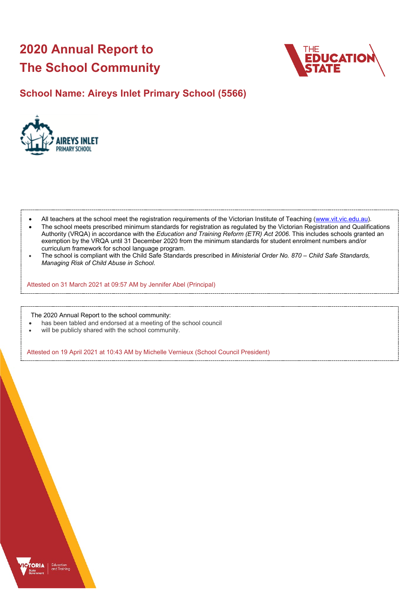# **2020 Annual Report to The School Community**



## **School Name: Aireys Inlet Primary School (5566)**



- All teachers at the school meet the registration requirements of the Victorian Institute of Teaching [\(www.vit.vic.edu.au\)](https://www.vit.vic.edu.au/).
- The school meets prescribed minimum standards for registration as regulated by the Victorian Registration and Qualifications Authority (VRQA) in accordance with the *Education and Training Reform (ETR) Act 2006*. This includes schools granted an exemption by the VRQA until 31 December 2020 from the minimum standards for student enrolment numbers and/or curriculum framework for school language program.
- The school is compliant with the Child Safe Standards prescribed in *Ministerial Order No. 870 Child Safe Standards, Managing Risk of Child Abuse in School*.

Attested on 31 March 2021 at 09:57 AM by Jennifer Abel (Principal)

The 2020 Annual Report to the school community:

- has been tabled and endorsed at a meeting of the school council
- will be publicly shared with the school community.

Attested on 19 April 2021 at 10:43 AM by Michelle Vernieux (School Council President)

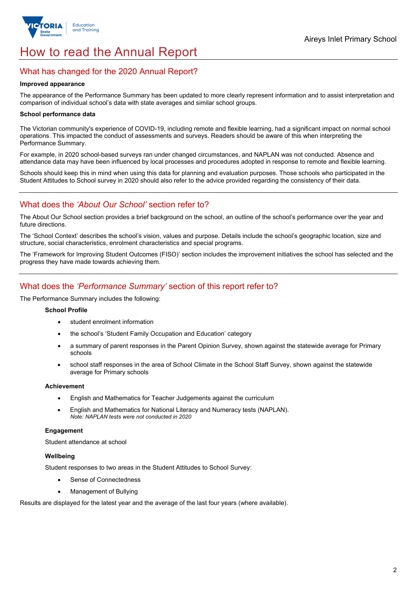

# How to read the Annual Report

## What has changed for the 2020 Annual Report?

#### **Improved appearance**

The appearance of the Performance Summary has been updated to more clearly represent information and to assist interpretation and comparison of individual school's data with state averages and similar school groups.

### **School performance data**

The Victorian community's experience of COVID-19, including remote and flexible learning, had a significant impact on normal school operations. This impacted the conduct of assessments and surveys. Readers should be aware of this when interpreting the Performance Summary.

For example, in 2020 school-based surveys ran under changed circumstances, and NAPLAN was not conducted. Absence and attendance data may have been influenced by local processes and procedures adopted in response to remote and flexible learning.

Schools should keep this in mind when using this data for planning and evaluation purposes. Those schools who participated in the Student Attitudes to School survey in 2020 should also refer to the advice provided regarding the consistency of their data.

## What does the *'About Our School'* section refer to?

The About Our School section provides a brief background on the school, an outline of the school's performance over the year and future directions.

The 'School Context' describes the school's vision, values and purpose. Details include the school's geographic location, size and structure, social characteristics, enrolment characteristics and special programs.

The 'Framework for Improving Student Outcomes (FISO)' section includes the improvement initiatives the school has selected and the progress they have made towards achieving them.

## What does the *'Performance Summary'* section of this report refer to?

The Performance Summary includes the following:

#### **School Profile**

- student enrolment information
- the school's 'Student Family Occupation and Education' category
- a summary of parent responses in the Parent Opinion Survey, shown against the statewide average for Primary schools
- school staff responses in the area of School Climate in the School Staff Survey, shown against the statewide average for Primary schools

#### **Achievement**

- English and Mathematics for Teacher Judgements against the curriculum
- English and Mathematics for National Literacy and Numeracy tests (NAPLAN). *Note: NAPLAN tests were not conducted in 2020*

### **Engagement**

Student attendance at school

### **Wellbeing**

Student responses to two areas in the Student Attitudes to School Survey:

- Sense of Connectedness
- Management of Bullying

Results are displayed for the latest year and the average of the last four years (where available).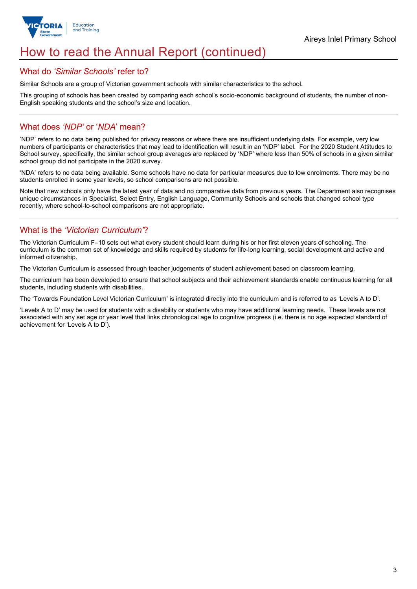

# How to read the Annual Report (continued)

## What do *'Similar Schools'* refer to?

Similar Schools are a group of Victorian government schools with similar characteristics to the school.

This grouping of schools has been created by comparing each school's socio-economic background of students, the number of non-English speaking students and the school's size and location.

## What does *'NDP'* or '*NDA*' mean?

'NDP' refers to no data being published for privacy reasons or where there are insufficient underlying data. For example, very low numbers of participants or characteristics that may lead to identification will result in an 'NDP' label. For the 2020 Student Attitudes to School survey, specifically, the similar school group averages are replaced by 'NDP' where less than 50% of schools in a given similar school group did not participate in the 2020 survey.

'NDA' refers to no data being available. Some schools have no data for particular measures due to low enrolments. There may be no students enrolled in some year levels, so school comparisons are not possible.

Note that new schools only have the latest year of data and no comparative data from previous years. The Department also recognises unique circumstances in Specialist, Select Entry, English Language, Community Schools and schools that changed school type recently, where school-to-school comparisons are not appropriate.

## What is the *'Victorian Curriculum'*?

The Victorian Curriculum F–10 sets out what every student should learn during his or her first eleven years of schooling. The curriculum is the common set of knowledge and skills required by students for life-long learning, social development and active and informed citizenship.

The Victorian Curriculum is assessed through teacher judgements of student achievement based on classroom learning.

The curriculum has been developed to ensure that school subjects and their achievement standards enable continuous learning for all students, including students with disabilities.

The 'Towards Foundation Level Victorian Curriculum' is integrated directly into the curriculum and is referred to as 'Levels A to D'.

'Levels A to D' may be used for students with a disability or students who may have additional learning needs. These levels are not associated with any set age or year level that links chronological age to cognitive progress (i.e. there is no age expected standard of achievement for 'Levels A to D').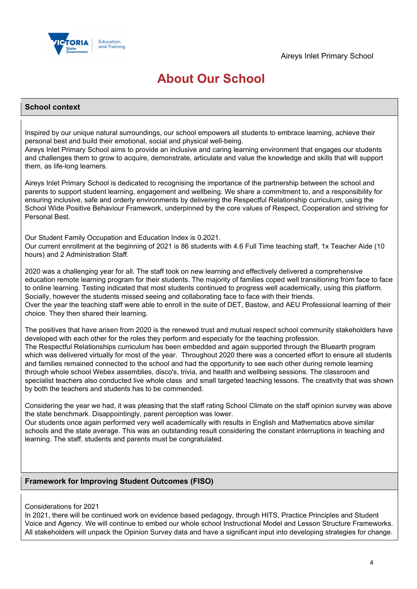

# **About Our School**

### **School context**

Inspired by our unique natural surroundings, our school empowers all students to embrace learning, achieve their personal best and build their emotional, social and physical well-being.

Aireys Inlet Primary School aims to provide an inclusive and caring learning environment that engages our students and challenges them to grow to acquire, demonstrate, articulate and value the knowledge and skills that will support them, as life-long learners.

Aireys Inlet Primary School is dedicated to recognising the importance of the partnership between the school and parents to support student learning, engagement and wellbeing. We share a commitment to, and a responsibility for ensuring inclusive, safe and orderly environments by delivering the Respectful Relationship curriculum, using the School Wide Positive Behaviour Framework, underpinned by the core values of Respect, Cooperation and striving for Personal Best.

Our Student Family Occupation and Education Index is 0.2021.

Our current enrollment at the beginning of 2021 is 86 students with 4.6 Full Time teaching staff, 1x Teacher Aide (10 hours) and 2 Administration Staff.

2020 was a challenging year for all. The staff took on new learning and effectively delivered a comprehensive education remote learning program for their students. The majority of families coped well transitioning from face to face to online learning. Testing indicated that most students continued to progress well academically, using this platform. Socially, however the students missed seeing and collaborating face to face with their friends. Over the year the teaching staff were able to enroll in the suite of DET, Bastow, and AEU Professional learning of their choice. They then shared their learning.

The positives that have arisen from 2020 is the renewed trust and mutual respect school community stakeholders have developed with each other for the roles they perform and especially for the teaching profession. The Respectful Relationships curriculum has been embedded and again supported through the Bluearth program which was delivered virtually for most of the year. Throughout 2020 there was a concerted effort to ensure all students and families remained connected to the school and had the opportunity to see each other during remote learning through whole school Webex assemblies, disco's, trivia, and health and wellbeing sessions. The classroom and specialist teachers also conducted live whole class and small targeted teaching lessons. The creativity that was shown by both the teachers and students has to be commended.

Considering the year we had, it was pleasing that the staff rating School Climate on the staff opinion survey was above the state benchmark. Disappointingly, parent perception was lower.

Our students once again performed very well academically with results in English and Mathematics above similar schools and the state average. This was an outstanding result considering the constant interruptions in teaching and learning. The staff, students and parents must be congratulated.

## **Framework for Improving Student Outcomes (FISO)**

### Considerations for 2021

In 2021, there will be continued work on evidence based pedagogy, through HITS, Practice Principles and Student Voice and Agency. We will continue to embed our whole school Instructional Model and Lesson Structure Frameworks. All stakeholders will unpack the Opinion Survey data and have a significant input into developing strategies for change.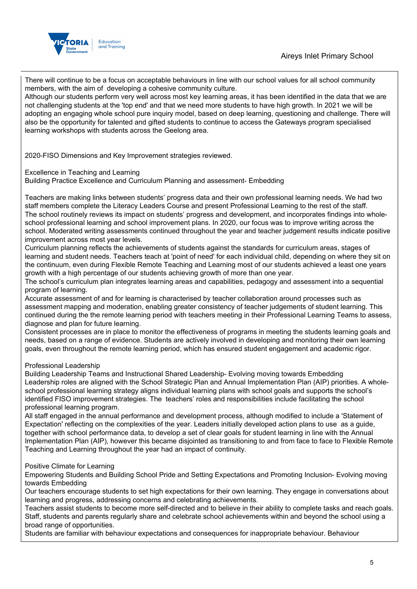

There will continue to be a focus on acceptable behaviours in line with our school values for all school community members, with the aim of developing a cohesive community culture.

Although our students perform very well across most key learning areas, it has been identified in the data that we are not challenging students at the 'top end' and that we need more students to have high growth. In 2021 we will be adopting an engaging whole school pure inquiry model, based on deep learning, questioning and challenge. There will also be the opportunity for talented and gifted students to continue to access the Gateways program specialised learning workshops with students across the Geelong area.

2020-FISO Dimensions and Key Improvement strategies reviewed.

Excellence in Teaching and Learning

Building Practice Excellence and Curriculum Planning and assessment- Embedding

Teachers are making links between students' progress data and their own professional learning needs. We had two staff members complete the Literacy Leaders Course and present Professional Learning to the rest of the staff. The school routinely reviews its impact on students' progress and development, and incorporates findings into wholeschool professional learning and school improvement plans. In 2020, our focus was to improve writing across the school. Moderated writing assessments continued throughout the year and teacher judgement results indicate positive improvement across most year levels.

Curriculum planning reflects the achievements of students against the standards for curriculum areas, stages of learning and student needs. Teachers teach at 'point of need' for each individual child, depending on where they sit on the continuum, even during Flexible Remote Teaching and Learning most of our students achieved a least one years growth with a high percentage of our students achieving growth of more than one year.

The school's curriculum plan integrates learning areas and capabilities, pedagogy and assessment into a sequential program of learning.

Accurate assessment of and for learning is characterised by teacher collaboration around processes such as assessment mapping and moderation, enabling greater consistency of teacher judgements of student learning. This continued during the the remote learning period with teachers meeting in their Professional Learning Teams to assess, diagnose and plan for future learning.

Consistent processes are in place to monitor the effectiveness of programs in meeting the students learning goals and needs, based on a range of evidence. Students are actively involved in developing and monitoring their own learning goals, even throughout the remote learning period, which has ensured student engagement and academic rigor.

## Professional Leadership

Building Leadership Teams and Instructional Shared Leadership- Evolving moving towards Embedding Leadership roles are aligned with the School Strategic Plan and Annual Implementation Plan (AIP) priorities. A wholeschool professional learning strategy aligns individual learning plans with school goals and supports the school's identified FISO improvement strategies. The teachers' roles and responsibilities include facilitating the school professional learning program.

All staff engaged in the annual performance and development process, although modified to include a 'Statement of Expectation' reflecting on the complexities of the year. Leaders initially developed action plans to use as a guide, together with school performance data, to develop a set of clear goals for student learning in line with the Annual Implementation Plan (AIP), however this became disjointed as transitioning to and from face to face to Flexible Remote Teaching and Learning throughout the year had an impact of continuity.

### Positive Climate for Learning

Empowering Students and Building School Pride and Setting Expectations and Promoting Inclusion- Evolving moving towards Embedding

Our teachers encourage students to set high expectations for their own learning. They engage in conversations about learning and progress, addressing concerns and celebrating achievements.

Teachers assist students to become more self-directed and to believe in their ability to complete tasks and reach goals. Staff, students and parents regularly share and celebrate school achievements within and beyond the school using a broad range of opportunities.

Students are familiar with behaviour expectations and consequences for inappropriate behaviour. Behaviour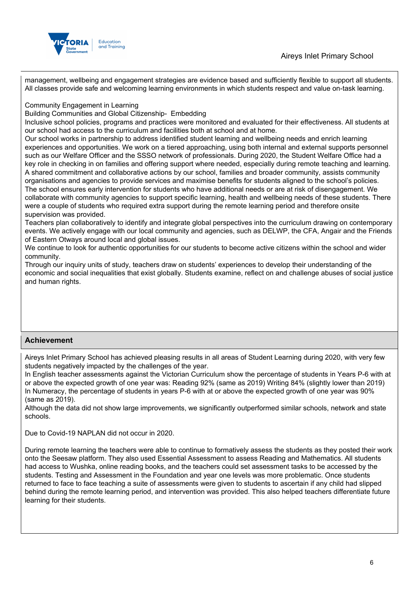

management, wellbeing and engagement strategies are evidence based and sufficiently flexible to support all students. All classes provide safe and welcoming learning environments in which students respect and value on-task learning.

Community Engagement in Learning

Building Communities and Global Citizenship- Embedding

Inclusive school policies, programs and practices were monitored and evaluated for their effectiveness. All students at our school had access to the curriculum and facilities both at school and at home.

Our school works in partnership to address identified student learning and wellbeing needs and enrich learning experiences and opportunities. We work on a tiered approaching, using both internal and external supports personnel such as our Welfare Officer and the SSSO network of professionals. During 2020, the Student Welfare Office had a key role in checking in on families and offering support where needed, especially during remote teaching and learning. A shared commitment and collaborative actions by our school, families and broader community, assists community organisations and agencies to provide services and maximise benefits for students aligned to the school's policies. The school ensures early intervention for students who have additional needs or are at risk of disengagement. We collaborate with community agencies to support specific learning, health and wellbeing needs of these students. There were a couple of students who required extra support during the remote learning period and therefore onsite supervision was provided.

Teachers plan collaboratively to identify and integrate global perspectives into the curriculum drawing on contemporary events. We actively engage with our local community and agencies, such as DELWP, the CFA, Angair and the Friends of Eastern Otways around local and global issues.

We continue to look for authentic opportunities for our students to become active citizens within the school and wider community.

Through our inquiry units of study, teachers draw on students' experiences to develop their understanding of the economic and social inequalities that exist globally. Students examine, reflect on and challenge abuses of social justice and human rights.

## **Achievement**

Aireys Inlet Primary School has achieved pleasing results in all areas of Student Learning during 2020, with very few students negatively impacted by the challenges of the year.

In English teacher assessments against the Victorian Curriculum show the percentage of students in Years P-6 with at or above the expected growth of one year was: Reading 92% (same as 2019) Writing 84% (slightly lower than 2019) In Numeracy, the percentage of students in years P-6 with at or above the expected growth of one year was 90% (same as 2019).

Although the data did not show large improvements, we significantly outperformed similar schools, network and state schools.

Due to Covid-19 NAPLAN did not occur in 2020.

During remote learning the teachers were able to continue to formatively assess the students as they posted their work onto the Seesaw platform. They also used Essential Assessment to assess Reading and Mathematics. All students had access to Wushka, online reading books, and the teachers could set assessment tasks to be accessed by the students. Testing and Assessment in the Foundation and year one levels was more problematic. Once students returned to face to face teaching a suite of assessments were given to students to ascertain if any child had slipped behind during the remote learning period, and intervention was provided. This also helped teachers differentiate future learning for their students.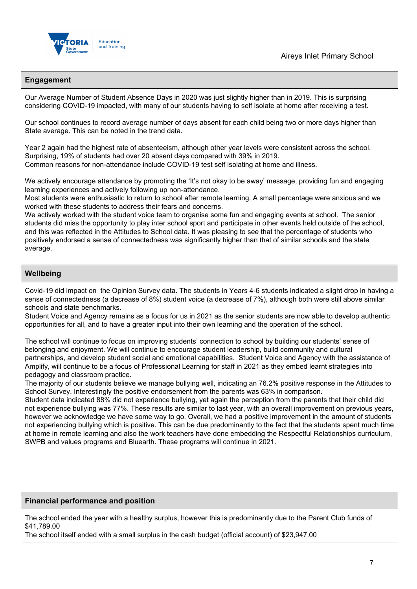

## **Engagement**

Our Average Number of Student Absence Days in 2020 was just slightly higher than in 2019. This is surprising considering COVID-19 impacted, with many of our students having to self isolate at home after receiving a test.

Our school continues to record average number of days absent for each child being two or more days higher than State average. This can be noted in the trend data.

Year 2 again had the highest rate of absenteeism, although other year levels were consistent across the school. Surprising, 19% of students had over 20 absent days compared with 39% in 2019. Common reasons for non-attendance include COVID-19 test self isolating at home and illness.

We actively encourage attendance by promoting the 'It's not okay to be away' message, providing fun and engaging learning experiences and actively following up non-attendance.

Most students were enthusiastic to return to school after remote learning. A small percentage were anxious and we worked with these students to address their fears and concerns.

We actively worked with the student voice team to organise some fun and engaging events at school. The senior students did miss the opportunity to play inter school sport and participate in other events held outside of the school, and this was reflected in the Attitudes to School data. It was pleasing to see that the percentage of students who positively endorsed a sense of connectedness was significantly higher than that of similar schools and the state average.

## **Wellbeing**

Covid-19 did impact on the Opinion Survey data. The students in Years 4-6 students indicated a slight drop in having a sense of connectedness (a decrease of 8%) student voice (a decrease of 7%), although both were still above similar schools and state benchmarks.

Student Voice and Agency remains as a focus for us in 2021 as the senior students are now able to develop authentic opportunities for all, and to have a greater input into their own learning and the operation of the school.

The school will continue to focus on improving students' connection to school by building our students' sense of belonging and enjoyment. We will continue to encourage student leadership, build community and cultural partnerships, and develop student social and emotional capabilities. Student Voice and Agency with the assistance of Amplify, will continue to be a focus of Professional Learning for staff in 2021 as they embed learnt strategies into pedagogy and classroom practice.

The majority of our students believe we manage bullying well, indicating an 76.2% positive response in the Attitudes to School Survey. Interestingly the positive endorsement from the parents was 63% in comparison.

Student data indicated 88% did not experience bullying, yet again the perception from the parents that their child did not experience bullying was 77%. These results are similar to last year, with an overall improvement on previous years, however we acknowledge we have some way to go. Overall, we had a positive improvement in the amount of students not experiencing bullying which is positive. This can be due predominantly to the fact that the students spent much time at home in remote learning and also the work teachers have done embedding the Respectful Relationships curriculum, SWPB and values programs and Bluearth. These programs will continue in 2021.

### **Financial performance and position**

The school ended the year with a healthy surplus, however this is predominantly due to the Parent Club funds of \$41,789.00

The school itself ended with a small surplus in the cash budget (official account) of \$23,947.00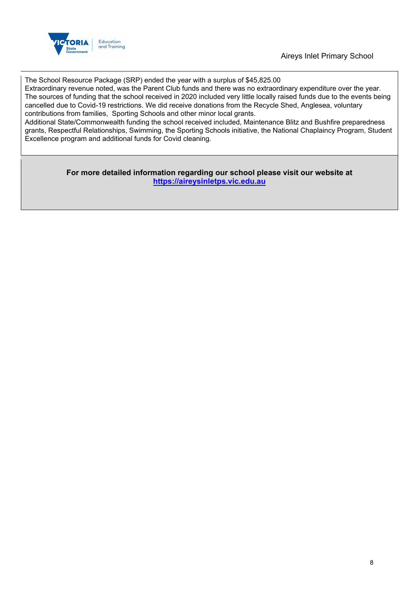

The School Resource Package (SRP) ended the year with a surplus of \$45,825.00

Extraordinary revenue noted, was the Parent Club funds and there was no extraordinary expenditure over the year. The sources of funding that the school received in 2020 included very little locally raised funds due to the events being cancelled due to Covid-19 restrictions. We did receive donations from the Recycle Shed, Anglesea, voluntary contributions from families, Sporting Schools and other minor local grants.

Additional State/Commonwealth funding the school received included, Maintenance Blitz and Bushfire preparedness grants, Respectful Relationships, Swimming, the Sporting Schools initiative, the National Chaplaincy Program, Student Excellence program and additional funds for Covid cleaning.

> **For more detailed information regarding our school please visit our website at [https://aireysinletps.vic.edu.au](https://aireysinletps.vic.edu.au/)**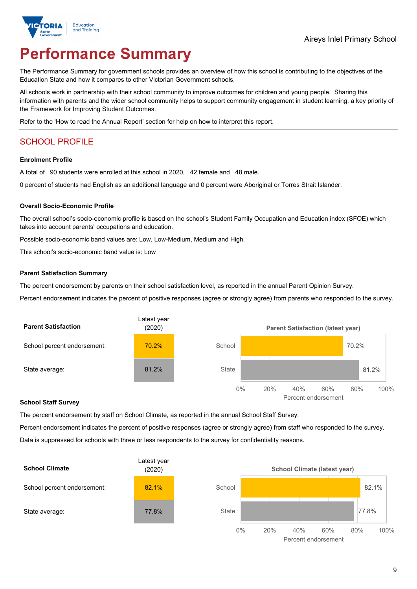

# **Performance Summary**

The Performance Summary for government schools provides an overview of how this school is contributing to the objectives of the Education State and how it compares to other Victorian Government schools.

All schools work in partnership with their school community to improve outcomes for children and young people. Sharing this information with parents and the wider school community helps to support community engagement in student learning, a key priority of the Framework for Improving Student Outcomes.

Refer to the 'How to read the Annual Report' section for help on how to interpret this report.

## SCHOOL PROFILE

#### **Enrolment Profile**

A total of 90 students were enrolled at this school in 2020, 42 female and 48 male.

0 percent of students had English as an additional language and 0 percent were Aboriginal or Torres Strait Islander.

#### **Overall Socio-Economic Profile**

The overall school's socio-economic profile is based on the school's Student Family Occupation and Education index (SFOE) which takes into account parents' occupations and education.

Possible socio-economic band values are: Low, Low-Medium, Medium and High.

This school's socio-economic band value is: Low

#### **Parent Satisfaction Summary**

The percent endorsement by parents on their school satisfaction level, as reported in the annual Parent Opinion Survey.

Percent endorsement indicates the percent of positive responses (agree or strongly agree) from parents who responded to the survey.



#### **School Staff Survey**

The percent endorsement by staff on School Climate, as reported in the annual School Staff Survey.

Percent endorsement indicates the percent of positive responses (agree or strongly agree) from staff who responded to the survey. Data is suppressed for schools with three or less respondents to the survey for confidentiality reasons.



Percent endorsement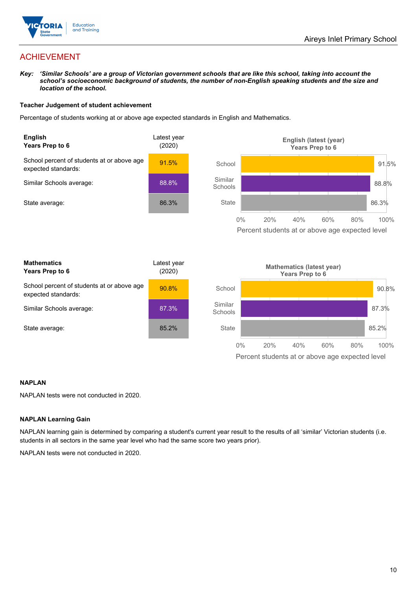

## ACHIEVEMENT

*Key: 'Similar Schools' are a group of Victorian government schools that are like this school, taking into account the*  school's socioeconomic background of students, the number of non-English speaking students and the size and *location of the school.*

### **Teacher Judgement of student achievement**

Percentage of students working at or above age expected standards in English and Mathematics.



### **NAPLAN**

NAPLAN tests were not conducted in 2020.

### **NAPLAN Learning Gain**

NAPLAN learning gain is determined by comparing a student's current year result to the results of all 'similar' Victorian students (i.e. students in all sectors in the same year level who had the same score two years prior).

NAPLAN tests were not conducted in 2020.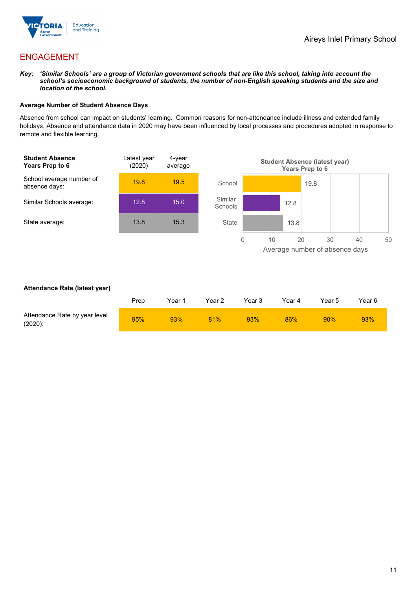

## ENGAGEMENT

*Key: 'Similar Schools' are a group of Victorian government schools that are like this school, taking into account the school's socioeconomic background of students, the number of non-English speaking students and the size and location of the school.*

### **Average Number of Student Absence Days**

Absence from school can impact on students' learning. Common reasons for non-attendance include illness and extended family holidays. Absence and attendance data in 2020 may have been influenced by local processes and procedures adopted in response to remote and flexible learning.



### **Attendance Rate (latest year)**

|                                             | Prep | Year 1 | Year 2 | Year 3 | Year 4 | Year 5 | Year 6 |
|---------------------------------------------|------|--------|--------|--------|--------|--------|--------|
| Attendance Rate by year level<br>$(2020)$ : | 95%  | 93%    | 81%    | 93%    | 86%    | 90%    | 93%    |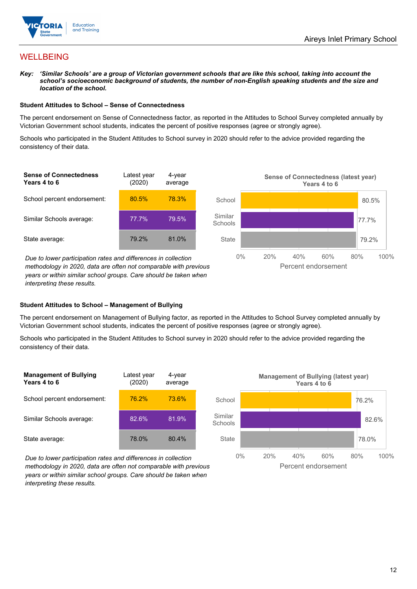

## WELLBEING

*Key: 'Similar Schools' are a group of Victorian government schools that are like this school, taking into account the*  school's socioeconomic background of students, the number of non-English speaking students and the size and *location of the school.*

#### **Student Attitudes to School – Sense of Connectedness**

The percent endorsement on Sense of Connectedness factor, as reported in the Attitudes to School Survey completed annually by Victorian Government school students, indicates the percent of positive responses (agree or strongly agree).

Schools who participated in the Student Attitudes to School survey in 2020 should refer to the advice provided regarding the consistency of their data.



*methodology in 2020, data are often not comparable with previous years or within similar school groups. Care should be taken when interpreting these results.*

### **Student Attitudes to School – Management of Bullying**

The percent endorsement on Management of Bullying factor, as reported in the Attitudes to School Survey completed annually by Victorian Government school students, indicates the percent of positive responses (agree or strongly agree).

Schools who participated in the Student Attitudes to School survey in 2020 should refer to the advice provided regarding the consistency of their data.



*Due to lower participation rates and differences in collection methodology in 2020, data are often not comparable with previous years or within similar school groups. Care should be taken when interpreting these results.*

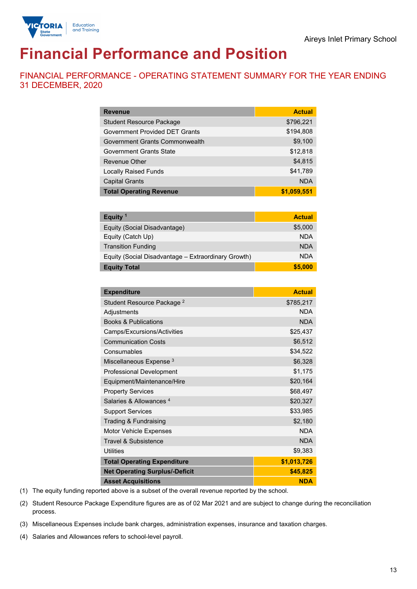

# **Financial Performance and Position**

FINANCIAL PERFORMANCE - OPERATING STATEMENT SUMMARY FOR THE YEAR ENDING 31 DECEMBER, 2020

| <b>Revenue</b>                        | <b>Actual</b> |
|---------------------------------------|---------------|
| <b>Student Resource Package</b>       | \$796,221     |
| <b>Government Provided DET Grants</b> | \$194,808     |
| Government Grants Commonwealth        | \$9,100       |
| Government Grants State               | \$12,818      |
| <b>Revenue Other</b>                  | \$4,815       |
| <b>Locally Raised Funds</b>           | \$41,789      |
| <b>Capital Grants</b>                 | <b>NDA</b>    |
| <b>Total Operating Revenue</b>        | \$1,059,551   |

| Equity <sup>1</sup>                                 | <b>Actual</b> |
|-----------------------------------------------------|---------------|
| Equity (Social Disadvantage)                        | \$5,000       |
| Equity (Catch Up)                                   | <b>NDA</b>    |
| <b>Transition Funding</b>                           | <b>NDA</b>    |
| Equity (Social Disadvantage – Extraordinary Growth) | <b>NDA</b>    |
| <b>Equity Total</b>                                 | \$5,000       |

| <b>Expenditure</b>                    | <b>Actual</b> |
|---------------------------------------|---------------|
| Student Resource Package <sup>2</sup> | \$785,217     |
| Adjustments                           | <b>NDA</b>    |
| <b>Books &amp; Publications</b>       | <b>NDA</b>    |
| Camps/Excursions/Activities           | \$25,437      |
| <b>Communication Costs</b>            | \$6,512       |
| Consumables                           | \$34,522      |
| Miscellaneous Expense <sup>3</sup>    | \$6,328       |
| <b>Professional Development</b>       | \$1,175       |
| Equipment/Maintenance/Hire            | \$20,164      |
| <b>Property Services</b>              | \$68,497      |
| Salaries & Allowances <sup>4</sup>    | \$20,327      |
| <b>Support Services</b>               | \$33,985      |
| Trading & Fundraising                 | \$2,180       |
| Motor Vehicle Expenses                | <b>NDA</b>    |
| <b>Travel &amp; Subsistence</b>       | <b>NDA</b>    |
| <b>Utilities</b>                      | \$9,383       |
| <b>Total Operating Expenditure</b>    | \$1,013,726   |
| <b>Net Operating Surplus/-Deficit</b> | \$45,825      |
| <b>Asset Acquisitions</b>             | <b>NDA</b>    |

(1) The equity funding reported above is a subset of the overall revenue reported by the school.

(2) Student Resource Package Expenditure figures are as of 02 Mar 2021 and are subject to change during the reconciliation process.

(3) Miscellaneous Expenses include bank charges, administration expenses, insurance and taxation charges.

(4) Salaries and Allowances refers to school-level payroll.